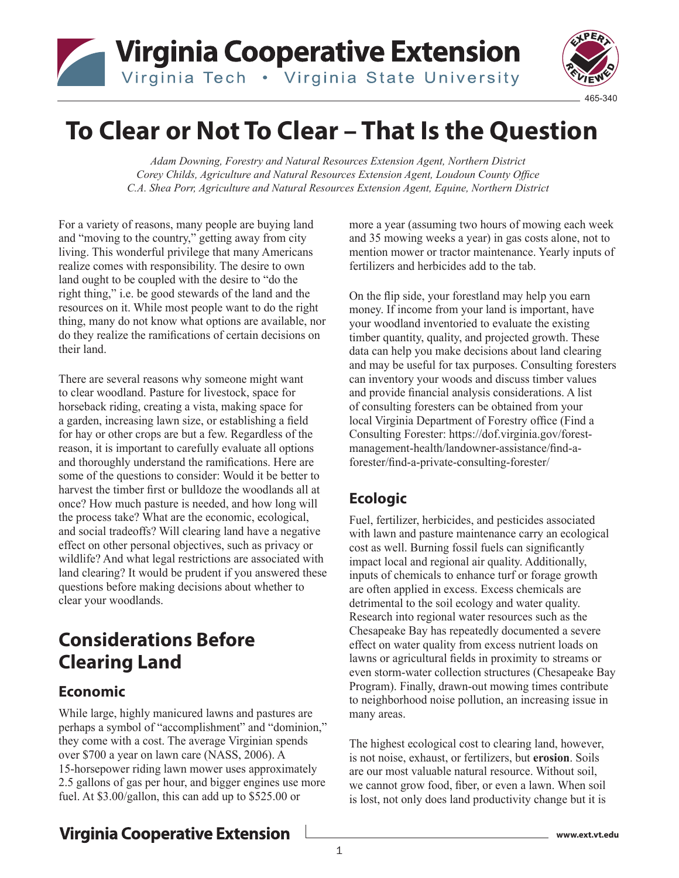



# **To Clear or Not To Clear – That Is the Question**

*Adam Downing, Forestry and Natural Resources Extension Agent, Northern District Corey Childs, Agriculture and Natural Resources Extension Agent, Loudoun County Office C.A. Shea Porr, Agriculture and Natural Resources Extension Agent, Equine, Northern District*

For a variety of reasons, many people are buying land and "moving to the country," getting away from city living. This wonderful privilege that many Americans realize comes with responsibility. The desire to own land ought to be coupled with the desire to "do the right thing," i.e. be good stewards of the land and the resources on it. While most people want to do the right thing, many do not know what options are available, nor do they realize the ramifications of certain decisions on their land.

There are several reasons why someone might want to clear woodland. Pasture for livestock, space for horseback riding, creating a vista, making space for a garden, increasing lawn size, or establishing a field for hay or other crops are but a few. Regardless of the reason, it is important to carefully evaluate all options and thoroughly understand the ramifications. Here are some of the questions to consider: Would it be better to harvest the timber first or bulldoze the woodlands all at once? How much pasture is needed, and how long will the process take? What are the economic, ecological, and social tradeoffs? Will clearing land have a negative effect on other personal objectives, such as privacy or wildlife? And what legal restrictions are associated with land clearing? It would be prudent if you answered these questions before making decisions about whether to clear your woodlands.

## **Considerations Before Clearing Land**

#### **Economic**

While large, highly manicured lawns and pastures are perhaps a symbol of "accomplishment" and "dominion," they come with a cost. The average Virginian spends over \$700 a year on lawn care (NASS, 2006). A 15-horsepower riding lawn mower uses approximately 2.5 gallons of gas per hour, and bigger engines use more fuel. At \$3.00/gallon, this can add up to \$525.00 or

more a year (assuming two hours of mowing each week and 35 mowing weeks a year) in gas costs alone, not to mention mower or tractor maintenance. Yearly inputs of fertilizers and herbicides add to the tab.

On the flip side, your forestland may help you earn money. If income from your land is important, have your woodland inventoried to evaluate the existing timber quantity, quality, and projected growth. These data can help you make decisions about land clearing and may be useful for tax purposes. Consulting foresters can inventory your woods and discuss timber values and provide financial analysis considerations. A list of consulting foresters can be obtained from your local Virginia Department of Forestry office (Find a Consulting Forester: https://dof.virginia.gov/forestmanagement-health/landowner-assistance/find-aforester/find-a-private-consulting-forester/

#### **Ecologic**

Fuel, fertilizer, herbicides, and pesticides associated with lawn and pasture maintenance carry an ecological cost as well. Burning fossil fuels can significantly impact local and regional air quality. Additionally, inputs of chemicals to enhance turf or forage growth are often applied in excess. Excess chemicals are detrimental to the soil ecology and water quality. Research into regional water resources such as the Chesapeake Bay has repeatedly documented a severe effect on water quality from excess nutrient loads on lawns or agricultural fields in proximity to streams or even storm-water collection structures (Chesapeake Bay Program). Finally, drawn-out mowing times contribute to neighborhood noise pollution, an increasing issue in many areas.

The highest ecological cost to clearing land, however, is not noise, exhaust, or fertilizers, but **erosion**. Soils are our most valuable natural resource. Without soil, we cannot grow food, fiber, or even a lawn. When soil is lost, not only does land productivity change but it is

#### **Virginia Cooperative Extension**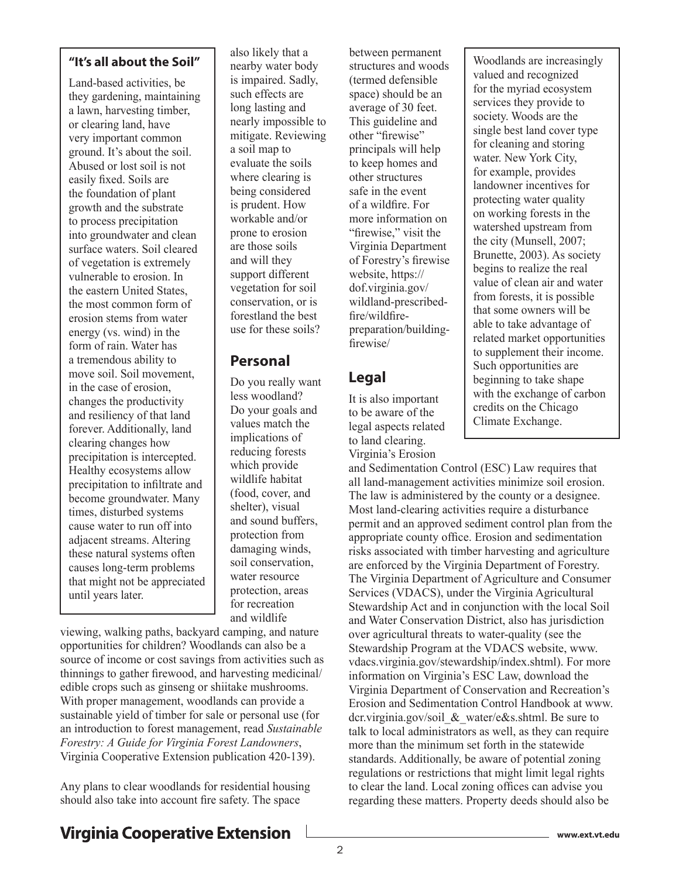#### **"It's all about the Soil"**

Land-based activities, be they gardening, maintaining a lawn, harvesting timber, or clearing land, have very important common ground. It's about the soil. Abused or lost soil is not easily fixed. Soils are the foundation of plant growth and the substrate to process precipitation into groundwater and clean surface waters. Soil cleared of vegetation is extremely vulnerable to erosion. In the eastern United States, the most common form of erosion stems from water energy (vs. wind) in the form of rain. Water has a tremendous ability to move soil. Soil movement, in the case of erosion, changes the productivity and resiliency of that land forever. Additionally, land clearing changes how precipitation is intercepted. Healthy ecosystems allow precipitation to infiltrate and become groundwater. Many times, disturbed systems cause water to run off into adjacent streams. Altering these natural systems often causes long-term problems that might not be appreciated until years later.

also likely that a nearby water body is impaired. Sadly, such effects are long lasting and nearly impossible to mitigate. Reviewing a soil map to evaluate the soils where clearing is being considered is prudent. How workable and/or prone to erosion are those soils and will they support different vegetation for soil conservation, or is forestland the best use for these soils?

#### **Personal**

Do you really want less woodland? Do your goals and values match the implications of reducing forests which provide wildlife habitat (food, cover, and shelter), visual and sound buffers, protection from damaging winds, soil conservation, water resource protection, areas for recreation and wildlife

viewing, walking paths, backyard camping, and nature opportunities for children? Woodlands can also be a source of income or cost savings from activities such as thinnings to gather firewood, and harvesting medicinal/ edible crops such as ginseng or shiitake mushrooms. With proper management, woodlands can provide a sustainable yield of timber for sale or personal use (for an introduction to forest management, read *Sustainable Forestry: A Guide for Virginia Forest Landowners*, Virginia Cooperative Extension publication 420-139).

Any plans to clear woodlands for residential housing should also take into account fire safety. The space

between permanent structures and woods (termed defensible space) should be an average of 30 feet. This guideline and other "firewise" principals will help to keep homes and other structures safe in the event of a wildfire. For more information on "firewise," visit the Virginia Department of Forestry's firewise website, https:// dof.virginia.gov/ wildland-prescribedfire/wildfirepreparation/buildingfirewise/

#### **Legal**

It is also important to be aware of the legal aspects related to land clearing. Virginia's Erosion

Woodlands are increasingly valued and recognized for the myriad ecosystem services they provide to society. Woods are the single best land cover type for cleaning and storing water. New York City, for example, provides landowner incentives for protecting water quality on working forests in the watershed upstream from the city (Munsell, 2007; Brunette, 2003). As society begins to realize the real value of clean air and water from forests, it is possible that some owners will be able to take advantage of related market opportunities to supplement their income. Such opportunities are beginning to take shape with the exchange of carbon credits on the Chicago Climate Exchange.

and Sedimentation Control (ESC) Law requires that all land-management activities minimize soil erosion. The law is administered by the county or a designee. Most land-clearing activities require a disturbance permit and an approved sediment control plan from the appropriate county office. Erosion and sedimentation risks associated with timber harvesting and agriculture are enforced by the Virginia Department of Forestry. The Virginia Department of Agriculture and Consumer Services (VDACS), under the Virginia Agricultural Stewardship Act and in conjunction with the local Soil and Water Conservation District, also has jurisdiction over agricultural threats to water-quality (see the Stewardship Program at the VDACS website, www. vdacs.virginia.gov/stewardship/index.shtml). For more information on Virginia's ESC Law, download the Virginia Department of Conservation and Recreation's Erosion and Sedimentation Control Handbook at www. dcr.virginia.gov/soil & water/e&s.shtml. Be sure to talk to local administrators as well, as they can require more than the minimum set forth in the statewide standards. Additionally, be aware of potential zoning regulations or restrictions that might limit legal rights to clear the land. Local zoning offices can advise you regarding these matters. Property deeds should also be

### **Virginia Cooperative Extension**